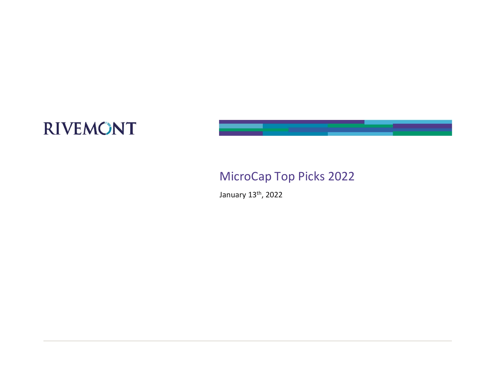

### MicroCap Top Picks 2022

January 13th, 2022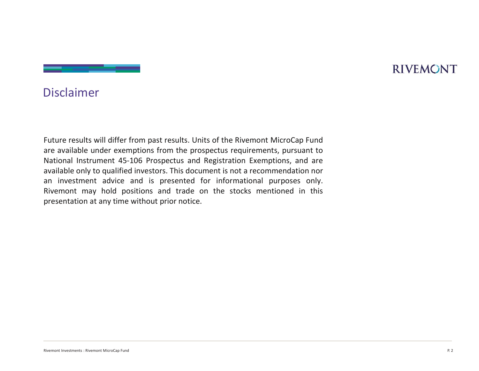#### Disclaimer

presentation at any time without prior notice.<br>
Remove Investment MicroCap Fund P. 2<br>
Remove Investment MicroCap Fund P. 2 Future results will differ from past results. Units of the Rivemont MicroCap Fund<br>Future results will differ from past results. Units of the Rivemont MicroCap Fund<br>are available under exemptions from the prospectus require **Exercise and Secure 2011**<br> **Exercise are available under exemptions from the prospectus requirements, pursuant to**<br> **Are available under exemptions from the prospectus requirements, pursuant to**<br> **Are available only to qu Example 18-10**<br>
National Instrument 25-106 Prospective and Registration Exemption Prospectus and Registration are available under exemptions from the prospectus requirements, pursuant to<br>
National Instrument 45-106 Prospe **Example 18 The Comment Conduct Conduct Conduct Conduct Conduct Conduct Conduct Conduct Conduct Conduct Conduct Conduct Conduction and the prospectus requirements, pursuant to National Instrument 45-106 Prospectus and Regi Example 18 INTERNONT**<br> **Example 18 INTERNONT**<br> **Example 18 INTERNONT**<br> **Example 18 INTERNONT**<br> **Example 18 INTERNON FOR THE PROPOSECUS**<br> **Example 18 INTERNON FOR INTERNON PURPOSE ONLY AND INTERNON THEORY OF INTERNON PURPO Example 12 Reformation**<br>**River and the stock mentions for the stock memorial positions and the stock memorial positions from the prospectus and negative mentions from the prospective and trade on the stock and the stock Disclaimer**<br>**Puture results will differ from past results. Units of the Rivemont MicroCap Fund**<br>are available under exemptions from the prospectus requirements, pursuant to<br>**National Instrument 45-106 Prospectus and Regis**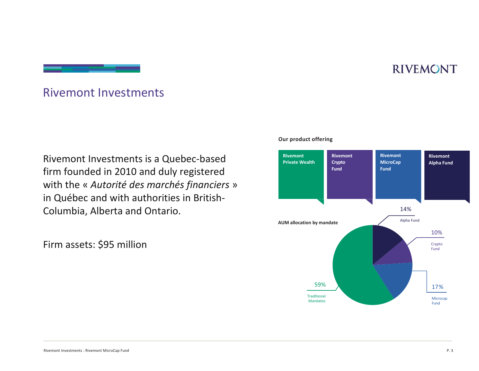#### Rivemont Investments

Rivemont Investments is a Quebec-based firm founded in 2010 and duly registered Rivemont Investments<br>
Rivemont Investments is a Quebec-based<br>
firm founded in 2010 and duly registered<br>
with the « *Autorité des marchés financiers* »<br>
in Québec and with authorities in British-<br>
Columbia, Alberta and Onta in Québec and with authorities in British-Columbia, Alberta and Ontario. Rivemont Investments : Rivemont MicroCap Fund<br>Rivemont Investments : Rivemont MicroCap Fund<br>Rivemont Investments : Rivemont MicroCap Fund

Firm assets: \$95 million



#### Our product offering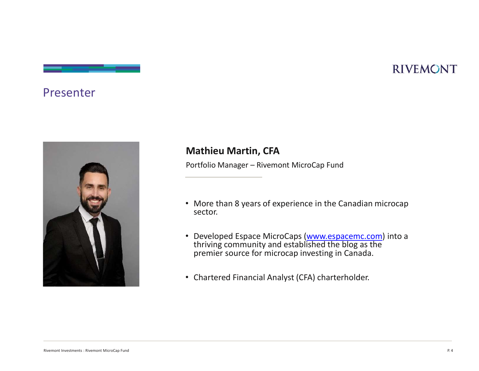#### Presenter



#### Mathieu Martin, CFA

- RIVEMONT<br>Portfolio Manager Rivemont MicroCap Fund<br>Portfolio Manager Rivemont MicroCap Fund<br>• More than 8 years of experience in the Canadian microcap • More than 8 years of experience in the Canadian microcap sector.
- Developed Espace MicroCaps (www.espacemc.com) into a thriving community and established the blog as the premier source for microcap investing in Canada.
- Chartered Financial Analyst (CFA) charterholder.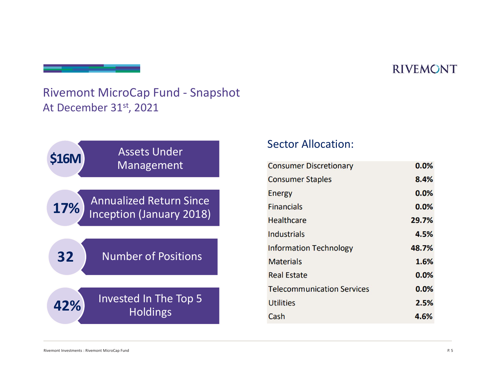# Rivemont MicroCap Fund - Snapshot<br>At December 31<sup>st</sup>, 2021 At December 31st, 2021



| <b>Consumer Discretionary</b>     | 0.0%  |
|-----------------------------------|-------|
| <b>Consumer Staples</b>           | 8.4%  |
| <b>Energy</b>                     | 0.0%  |
| <b>Financials</b>                 | 0.0%  |
| <b>Healthcare</b>                 | 29.7% |
| <b>Industrials</b>                | 4.5%  |
| <b>Information Technology</b>     | 48.7% |
| <b>Materials</b>                  | 1.6%  |
| <b>Real Estate</b>                | 0.0%  |
| <b>Telecommunication Services</b> | 0.0%  |
| <b>Utilities</b>                  | 2.5%  |
| Cash                              | 4.6%  |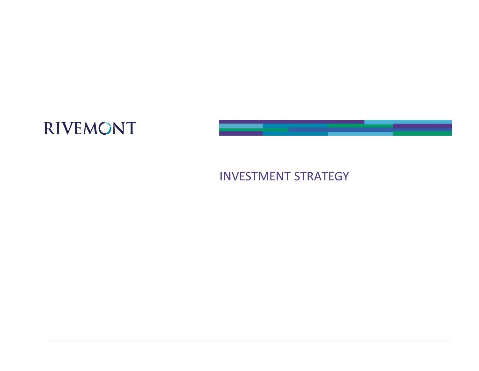

#### INVESTMENT STRATEGY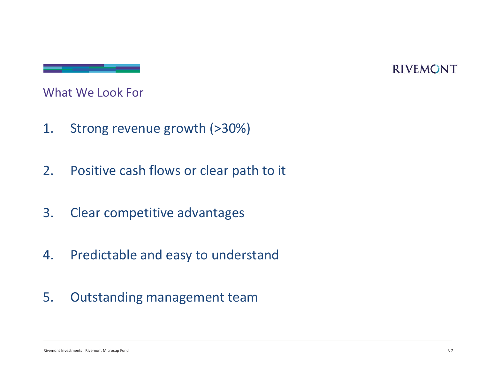What We Look For

- 
- What We Look For<br>
1. Strong revenue growth (>30%)<br>
2. Positive cash flows or clear path to it 2. Positive cash flows or clear path to it<br>2. Positive cash flows or clear path to it<br>2. Clear competitive advantages What We Look For<br>
1. Strong revenue growth (>30%)<br>
2. Positive cash flows or clear path to it<br>
3. Clear competitive advantages<br>
4. Predictable and easy to understand
- 
- Rivers is a competitive advantages<br>
A. Predictable and easy to understand<br>
S. Outstanding management team 1. Strong revenue growth (>30%)<br>
2. Positive cash flows or clear path to it<br>
3. Clear competitive advantages<br>
4. Predictable and easy to understand<br>
5. Outstanding management team 2. Positive cash flows or clear path to<br>3. Clear competitive advantages<br>4. Predictable and easy to understar<br>5. Outstanding management team
-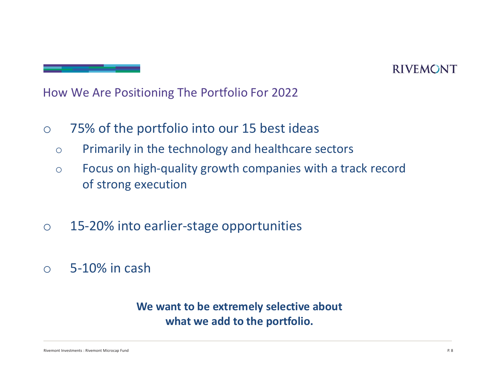How We Are Positioning The Portfolio For 2022

- o 75% of the portfolio into our 15 best ideas
	- o Primarily in the technology and healthcare sectors
	- o Focus on high-quality growth companies with a track record of strong execution
- o 15-20% into earlier-stage opportunities
- $\circ$  5-10% in cash

# Comparison in the extremely selective about<br>
We want to be extremely selective about<br>
what we add to the portfolio. We want to be extremely selective about what we add to the portfolio.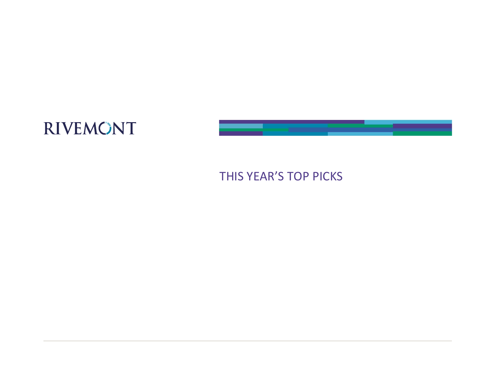

#### THIS YEAR'S TOP PICKS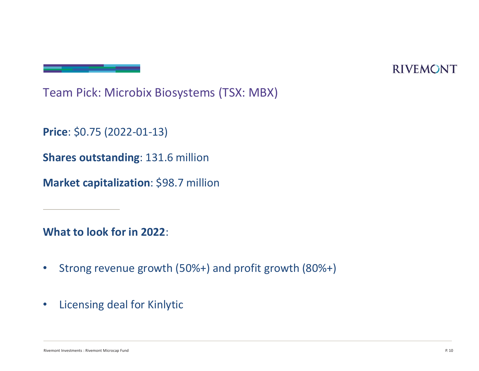Team Pick: Microbix Biosystems (TSX: MBX)<br>Team Pick: Microbix Biosystems (TSX: MBX)<br>Price: \$0.75 (2022-01-13)

Price: \$0.75 (2022-01-13)

Shares outstanding: 131.6 million

Market capitalization: \$98.7 million

- What to look for in 2022:<br>• Strong revenue growth (50%+) and profit growth (80%+)<br>• Licensing deal for Kinlytic<br>• Rivers Normal Rivers Normal Rivers (Normal Rivers of Fund P • Strong revenue growth (50%+) and profit growth (80%+)
- Licensing deal for Kinlytic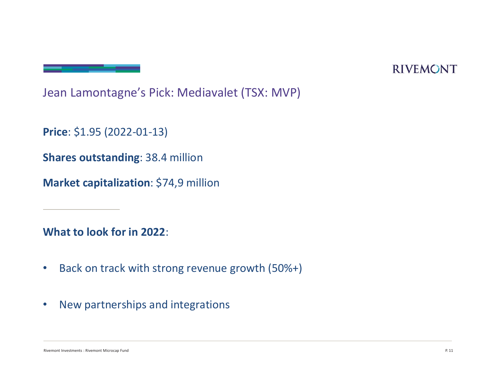Jean Lamontagne's Pick: Mediavalet (TSX: MVP)

Price: \$1.95 (2022-01-13)

Shares outstanding: 38.4 million

Market capitalization: \$74,9 million

- What to look for in 2022:<br>
 Back on track with strong revenue growth (50%+)<br>
 New partnerships and integrations<br>
 Representations : Rounder Microsop Fund Process . Rounder Microsop Fund • Back on track with strong revenue growth (50%+)
- New partnerships and integrations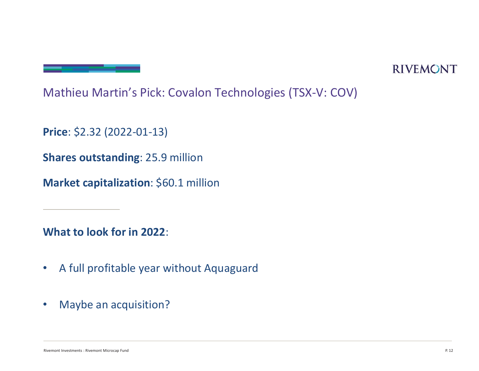Mathieu Martin's Pick: Covalon Technologies (TSX-V: COV)<br>Price: \$2.32 (2022-01-13)

Price: \$2.32 (2022-01-13)

Shares outstanding: 25.9 million

Market capitalization: \$60.1 million

- What to look for in 2022:<br>• A full profitable year without Aquaguard<br>• Maybe an acquisition?<br>• Microcap Fund Profitable Statement Microsoft Profitable Profitable Reservations in the magnetic Microsoft Profitable • A full profitable year without Aquaguard
- Maybe an acquisition?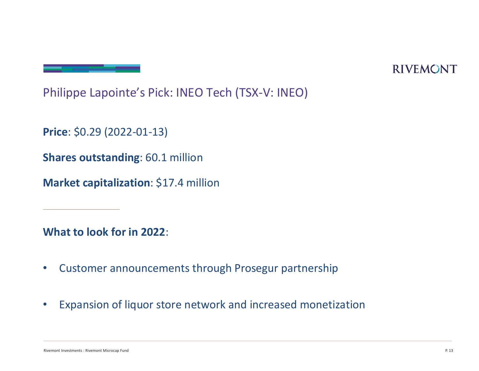Philippe Lapointe's Pick: INEO Tech (TSX-V: INEO)<br>Price: \$0.29 (2022-01-13)

Price: \$0.29 (2022-01-13)

Shares outstanding: 60.1 million

Market capitalization: \$17.4 million

- 
- What to look for in 2022:<br>
 Customer announcements through Prosegur partnership<br>
 Expansion of liquor store network and increased monetization<br>
 Rivers North Microcap Fund Prosegur and a partner of the content of the pa Price: \$0.29 (2022-01-13)<br>Shares outstanding: 60.1 million<br>Market capitalization: \$17.4 million<br>What to look for in 2022:<br>• Customer announcements through Prosegur partnership<br>• Expansion of liquor store network and increa • Expansion of liquor store network and increased monetization